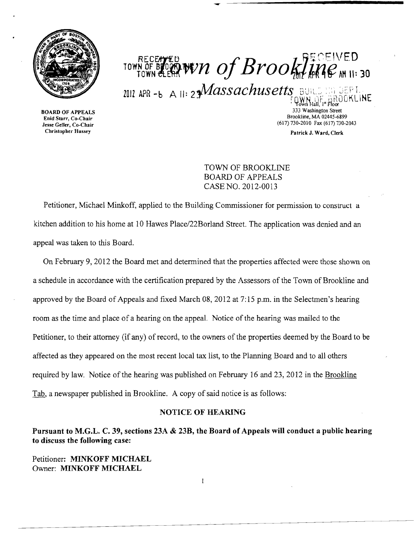

RECENTED<br>TOWN OF BROOK WIN OF Brookline MII: 30

 $1012$  APR -b A II:  $23$ *Massachusetts* BUILD NG GEPT.

BOARD OF APPEALS Enid Starr, Co-Chair Jesse Geller, Co-Chair Christopher Hussey

333 Washington Street Brookline, MA 02445-6899 (617) 730-2010 Fax (617) 730-2043

Patrick J. Ward, Clerk

TOWN OF BROOKLINE BOARD OF APPEALS CASE NO. 2012-0013

Petitioner, Michael Minkoff, applied to the Building Commissioner for permission to construct a kitchen addition to his home at 10 Hawes Piace/22Borland Street. The application was denied and an appeal was taken to this Board.

On February 9, 2012 the Board met and determined that the properties affected were those shown on a schedule in accordance with the certification prepared by the Assessors of the Town of Brookline and approved by the Board of Appeals and fixed March 08, 2012 at 7:15 p.m. in the Selectmen's hearing room as the time and place of a hearing on the appeal. Notice of the hearing was mailed to the Petitioner, to their attorney (if any) of record, to the owners of the properties deemed by the Board to be affected as they appeared on the most recent local tax list, to the Planning Board and to all others required by law. Notice of the hearing was published on February 16 and 23, 2012 in the Brookline Tab, a newspaper published in Brookline. A copy of said notice is as follows:

## NOTICE OF HEARING

Pursuant to M.G.L. C. 39, sections 23A & 23B, the Board of Appeals will conduct a public hearing to discuss the following case:

 $\mathbf{I}$ 

Petitioner: MINKOFF MICHAEL Owner: MINKOFF MICHAEL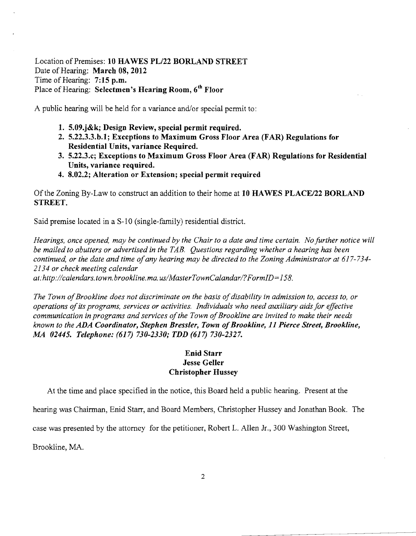Location of Premises: 10 HAWES PL/22 BORLAND STREET Date of Hearing: March 08, 2012 Time of Hearing: 7:15 p.m. Place of Hearing: Selectmen's Hearing Room, 6<sup>th</sup> Floor

A public hearing will be held for a variance and/or special pennit to:

- 1. 5.09.j&k; Design Review, special permit required.
- 2. 5.22.3.3.b.l; Exceptions to Maximum Gross Floor Area (FAR) Regulations for Residential Units, variance Required.
- 3. 5.22.3.c; Exceptions to Maximum Gross Floor Area (FAR) Regulations for Residential Units, variance required.
- 4. 8.02.2; Alteration or Extension; special permit required

Of the Zoning By-Law to construct an addition to their home at 10 HAWES *PLACE/22* BORLAND STREET.

Said premise located in a S-10 (single-family) residential district.

*Hearings, once opened, may be continued by the Chair to a date and time certain. No further notice will be mailed to abutters or advertised in the TAB. Questions regarding whether a hearing has been*  continued, or the date and time of any hearing may be directed to the Zoning Administrator at 617-734-*2134 or check meeting calendar at:http://calendars.town.brookline.ma.usIMasterTownCalandarl?FormID= 158.* 

The Town of Brookline does not discriminate on the basis of disability in admission to, access to, or *operations ofits programs, services or activities. Individuals who need auxiliary aidsfor effective*  communication in programs and services of the Town of Brookline are invited to make their needs *known to the ADA Coordinator, Stephen Bressler, Town ofBrookline,* 11 *Pierce Street, Brookline, MA 02445. Telephone:* (617) *730-2330; TDD* (617) *730-2327.* 

## Enid Starr Jesse Geller Christopher Hussey

At the time and place specified in the notice, this Board held a public hearing. Present at the

hearing was Chairman, Enid Starr, and Board Members, Christopher Hussey and Jonathan Book. The

case was presented by the attorney for the petitioner, Robert L. Allen Jr., 300 Washington Street,

Brookline, MA.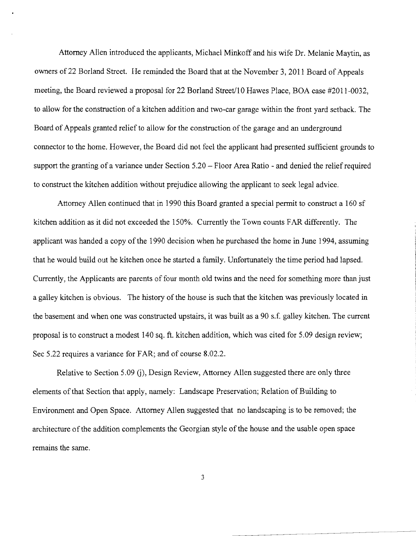Attorney Allen introduced the applicants, Michael Minkoff and his wife Dr. Melanie Maytin, as owners of 22 Borland Street. He reminded the Board that at the November 3, 2011 Board of Appeals meeting, the Board reviewed a proposal for 22 Borland Street/10 Hawes Place, BOA case #2011-0032, to allow for the construction of a kitchen addition and two-car garage within the front yard setback. The Board of Appeals granted relief to allow for the construction of the garage and an underground connector to the home. However, the Board did not feel the applicant had presented sufficient grounds to support the granting of a variance under Section 5.20 – Floor Area Ratio - and denied the relief required to construct the kitchen addition without prejudice allowing the applicant to seek legal advice.

Attorney Allen continued that in 1990 this Board granted a special permit to construct a 160 sf kitchen addition as it did not exceeded the 150%. Currently the Town counts FAR differently. The applicant was handed a copy of the 1990 decision when he purchased the home in June 1994, assuming that he would build out he kitchen once he started a family. Unfortunately the time period had lapsed. Currently, the Applicants are parents of four month old twins and the need for something more than just a galley kitchen is obvious. The history of the house is such that the kitchen was previously located in the basement and when one was constructed upstairs, it was built as a 90 s.f. galley kitchen. The current proposal is to construct a modest 140 sq. ft. kitchen addition, which was cited for 5.09 design review; Sec 5.22 requires a variance for FAR; and of course 8.02.2.

Relative to Section 5.09 (j), Design Review, Attorney Allen suggested there are only three elements of that Section that apply, namely: Landscape Preservation; Relation of Building to Environment and Open Space. Attorney Allen suggested that no landscaping is to be removed; the architecture of the addition complements the Georgian style of the house and the usable open space remains the same.

3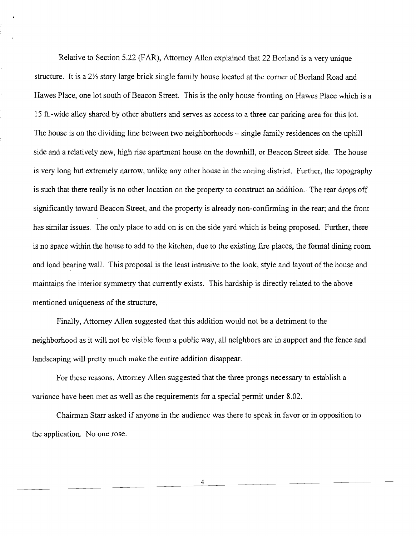Relative to Section 5.22 (FAR), Attorney Allen explained that 22 Borland is a very unique structure. It is a 2<sup>1/2</sup> story large brick single family house located at the corner of Borland Road and Hawes Place, one lot south of Beacon Street. This is the only house fronting on Hawes Place which is a 15 ft.-wide alley shared by other abutters and serves as access to a three car parking area for this lot. The house is on the dividing line between two neighborhoods – single family residences on the uphill side and a relatively new, high rise apartment house on the downhill, or Beacon Street side. The house is very long but extremely narrow, unlike any other house in the zoning district. Further, the topography is such that there really is no other location on the property to construct an addition.· The rear drops off significantly toward Beacon Street, and the property is already non-confirming in the rear; and the front has similar issues. The only place to add on is on the side yard which is being proposed. Further, there is no space within the house to add to the kitchen, due to the existing fire places, the formal dining room and load bearing wall. This proposal is the least intrusive to the look, style and layout of the house and maintains the interior symmetry that currently exists. This hardship is directly related to the above mentioned uniqueness of the structure,

Finally, Attorney Allen suggested that this addition would not be a detriment to the neighborhood as it will not be visible form a public way, all neighbors are in support and the fence and landscaping will pretty much make the entire addition disappear.

For these reasons, Attorney Allen suggested that the three prongs necessary to establish a variance have been met as well as the requirements for a special permit under 8.02.

Chairman Starr asked if anyone in the audience was there to speak in favor or in opposition to the application. No one rose.

4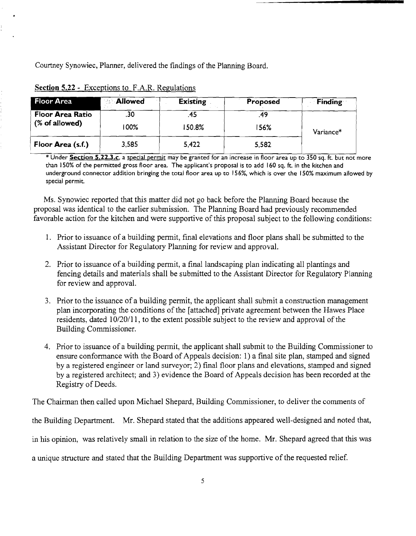Courtney Synowiec, Planner, delivered the findings of the Planning Board.

| Floor Area                                 | <b>Allowed</b> | <b>Existing</b> | Proposed | <b>Finding</b> |
|--------------------------------------------|----------------|-----------------|----------|----------------|
| <b>Floor Area Ratio</b><br>$%$ of allowed) | .30            |                 | 49       | Variance*      |
|                                            | 100%           | 150.8%          | 156%     |                |
| Floor Area (s.f.)                          | 3,585          | 5,422           | 5,582    |                |

| Section 5.22 - Exceptions to F.A.R. Regulations |
|-------------------------------------------------|
|-------------------------------------------------|

\* Under Section S.22.3.c, a special permit may be granted for an increase in floor area up to 350 sq. ft. but not more than 150% of the permitted gross floor area. The applicant's proposal is to add 160 sq. ft. in the kitchen and underground connector addition bringing the total floor area up to 156%, which is over the 150% maximum allowed by special permit.

Ms. Synowiec reported that this matter did not go back before the Planning Board because the proposal was identical to the earlier submission. The Planning Board had previously recommended favorable action for the kitchen and were supportive of this proposal subject to the following conditions:

- 1. Prior to issuance of a building permit, final elevations and floor plans shall be submitted to the Assistant Director for Regulatory Planning for review and approval.
- 2. Prior to issuance of a building permit, a final landscaping plan indicating all plantings and fencing details and materials shall be submitted to the Assistant Director for Regulatory Planning for review and approval.
- 3. Prior to the issuance of a building pennit, the applicant shall submit a construction management plan incorporating the conditions of the [attached] private agreement between the Hawes Place residents, dated 10/20/11, to the extent possible subject to the review and approval of the Building Commissioner.
- 4. Prior to issuance of a building pennit, the applicant shall submit to the Building Commissioner to ensure conformance with the Board of Appeals decision: 1) a final site plan, stamped and signed by a registered engineer or land surveyor; 2) final floor plans and elevations, stamped and signed by a registered architect; and 3) evidence the Board of Appeals decision has been recorded at the Registry of Deeds.

The Chairman then called upon Michael Shepard, Building Commissioner, to deliver the comments of

the Building Department. Mr. Shepard stated that the additions appeared well-designed and noted that,

in his opinion, was relatively small in relation to the size of the home. Mr. Shepard agreed that this was

a unique structure and stated that the Building Department was supportive of the requested relief.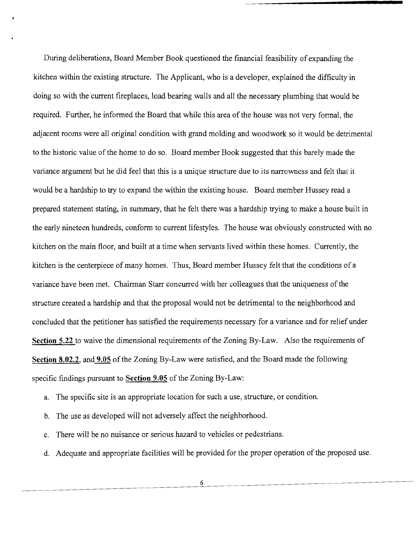During deliberations, Board Member Book questioned the financial feasibility of expanding the kitchen within the existing structure. The Applicant, who is a developer, explained the difficulty in doing so with the current fireplaces, load bearing walls and all the necessary plumbing that would be required. Further, he informed the Board that while this area of the house was not very formal, the adjacent rooms were all original condition with grand molding and woodwork so it would be detrimental to the historic value of the home to do so. Board member Book suggested that this barely made the variance argument but he did feel that this is a unique structure due to its narrowness and felt that it would be a hardship to try to expand the within the existing house. Board member Hussey read a prepared statement stating, in summary, that he felt there was a hardship trying to make a house built in the early nineteen hundreds, conform to current lifestyles. The house was obviously constructed with no kitchen on'the main floor, and built at a time when servants lived within these homes. Currently, the kitchen is the centerpiece of many homes. Thus, Board member Hussey felt that the conditions of a variance have been met. Chairman Starr concurred with her colleagues that the uniqueness of the structure created a hardship and that the proposal would not be detrimental to the neighborhood and concluded that the petitioner has satisfied the requirements necessary for a variance and for relief under **Section 5.22** to waive the dimensional requirements of the Zoning By-Law. Also the requirements of **Section 8.02.2, and 9.05** of the Zoning By-Law were satisfied, and the Board made the following specific findings pursuant to **Section 9.05** of the Zoning By-Law:

- a. The specific site is an appropriate location for such a use, structure, or condition.
- b. The use as developed will not adversely affect the neighborhood.
- c. There will be no nuisance or serious hazard to vehicles or pedestrians.
- d. Adequate and appropriate facilities will be provided for the proper operation of the proposed use.

6